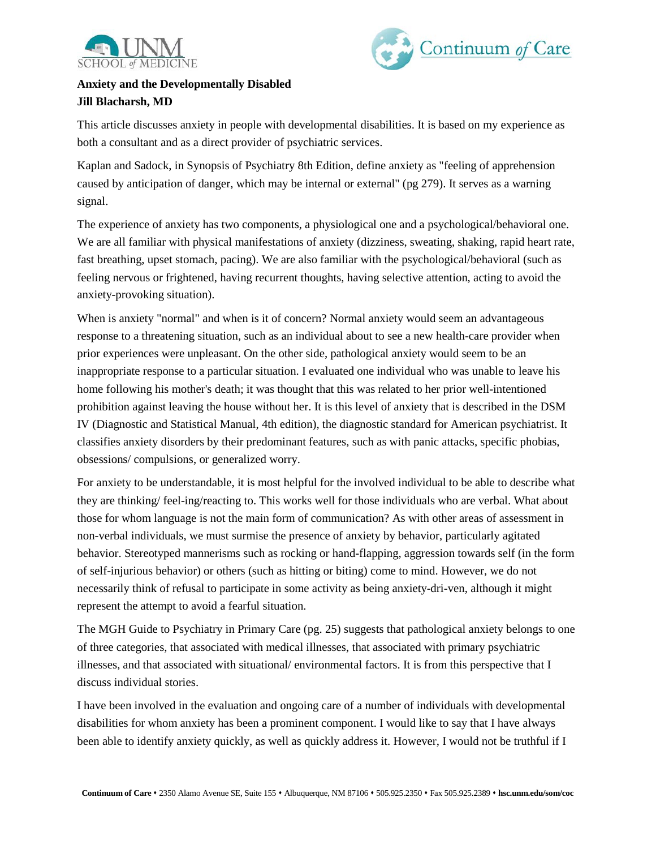



## **Anxiety and the Developmentally Disabled Jill Blacharsh, MD**

This article discusses anxiety in people with developmental disabilities. It is based on my experience as both a consultant and as a direct provider of psychiatric services.

Kaplan and Sadock, in Synopsis of Psychiatry 8th Edition, define anxiety as "feeling of apprehension caused by anticipation of danger, which may be internal or external" (pg 279). It serves as a warning signal.

The experience of anxiety has two components, a physiological one and a psychological/behavioral one. We are all familiar with physical manifestations of anxiety (dizziness, sweating, shaking, rapid heart rate, fast breathing, upset stomach, pacing). We are also familiar with the psychological/behavioral (such as feeling nervous or frightened, having recurrent thoughts, having selective attention, acting to avoid the anxiety-provoking situation).

When is anxiety "normal" and when is it of concern? Normal anxiety would seem an advantageous response to a threatening situation, such as an individual about to see a new health-care provider when prior experiences were unpleasant. On the other side, pathological anxiety would seem to be an inappropriate response to a particular situation. I evaluated one individual who was unable to leave his home following his mother's death; it was thought that this was related to her prior well-intentioned prohibition against leaving the house without her. It is this level of anxiety that is described in the DSM IV (Diagnostic and Statistical Manual, 4th edition), the diagnostic standard for American psychiatrist. It classifies anxiety disorders by their predominant features, such as with panic attacks, specific phobias, obsessions/ compulsions, or generalized worry.

For anxiety to be understandable, it is most helpful for the involved individual to be able to describe what they are thinking/ feel-ing/reacting to. This works well for those individuals who are verbal. What about those for whom language is not the main form of communication? As with other areas of assessment in non-verbal individuals, we must surmise the presence of anxiety by behavior, particularly agitated behavior. Stereotyped mannerisms such as rocking or hand-flapping, aggression towards self (in the form of self-injurious behavior) or others (such as hitting or biting) come to mind. However, we do not necessarily think of refusal to participate in some activity as being anxiety-dri-ven, although it might represent the attempt to avoid a fearful situation.

The MGH Guide to Psychiatry in Primary Care (pg. 25) suggests that pathological anxiety belongs to one of three categories, that associated with medical illnesses, that associated with primary psychiatric illnesses, and that associated with situational/ environmental factors. It is from this perspective that I discuss individual stories.

I have been involved in the evaluation and ongoing care of a number of individuals with developmental disabilities for whom anxiety has been a prominent component. I would like to say that I have always been able to identify anxiety quickly, as well as quickly address it. However, I would not be truthful if I